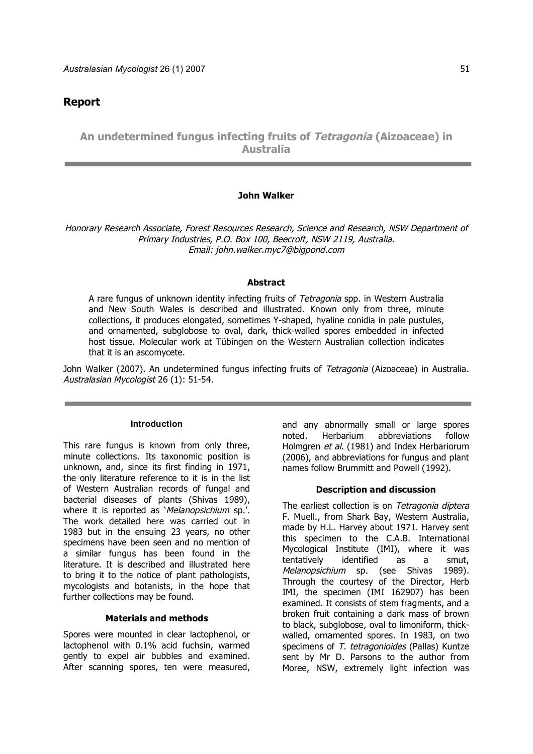# **Report**

**An undetermined fungus infecting fruits of Tetragonia (Aizoaceae) in Australia**

## **John Walker**

Honorary Research Associate, Forest Resources Research, Science and Research, NSW Department of Primary Industries, P.O. Box 100, Beecroft, NSW 2119, Australia. Email: john.walker.myc7@bigpond.com

#### **Abstract**

A rare fungus of unknown identity infecting fruits of Tetragonia spp. in Western Australia and New South Wales is described and illustrated. Known only from three, minute collections, it produces elongated, sometimes Y-shaped, hyaline conidia in pale pustules, and ornamented, subglobose to oval, dark, thick-walled spores embedded in infected host tissue. Molecular work at Tübingen on the Western Australian collection indicates that it is an ascomycete.

John Walker (2007). An undetermined fungus infecting fruits of Tetragonia (Aizoaceae) in Australia. Australasian Mycologist 26 (1): 51-54.

#### **Introduction**

This rare fungus is known from only three, minute collections. Its taxonomic position is unknown, and, since its first finding in 1971, the only literature reference to it is in the list of Western Australian records of fungal and bacterial diseases of plants (Shivas 1989), where it is reported as 'Melanopsichium sp.'. The work detailed here was carried out in 1983 but in the ensuing 23 years, no other specimens have been seen and no mention of a similar fungus has been found in the literature. It is described and illustrated here to bring it to the notice of plant pathologists, mycologists and botanists, in the hope that further collections may be found.

#### **Materials and methods**

Spores were mounted in clear lactophenol, or lactophenol with 0.1% acid fuchsin, warmed gently to expel air bubbles and examined. After scanning spores, ten were measured, and any abnormally small or large spores noted. Herbarium abbreviations follow Holmgren et al. (1981) and Index Herbariorum (2006), and abbreviations for fungus and plant names follow Brummitt and Powell (1992).

#### **Description and discussion**

The earliest collection is on Tetragonia diptera F. Muell., from Shark Bay, Western Australia, made by H.L. Harvey about 1971. Harvey sent this specimen to the C.A.B. International Mycological Institute (IMI), where it was tentatively identified as a smut, Melanopsichium sp. (see Shivas 1989). Through the courtesy of the Director, Herb IMI, the specimen (IMI 162907) has been examined. It consists of stem fragments, and a broken fruit containing a dark mass of brown to black, subglobose, oval to limoniform, thickwalled, ornamented spores. In 1983, on two specimens of T. tetragonioides (Pallas) Kuntze sent by Mr D. Parsons to the author from Moree, NSW, extremely light infection was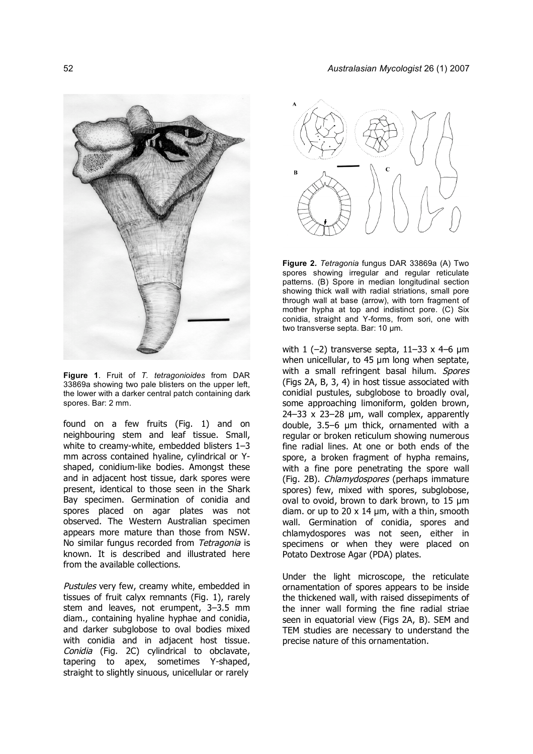

**Figure 1**. Fruit of *T. tetragonioides* from DAR 33869a showing two pale blisters on the upper left, the lower with a darker central patch containing dark spores. Bar: 2 mm.

found on a few fruits (Fig. 1) and on neighbouring stem and leaf tissue. Small, white to creamy-white, embedded blisters 1–3 mm across contained hyaline, cylindrical or Yshaped, conidium-like bodies. Amongst these and in adjacent host tissue, dark spores were present, identical to those seen in the Shark Bay specimen. Germination of conidia and spores placed on agar plates was not observed. The Western Australian specimen appears more mature than those from NSW. No similar fungus recorded from Tetragonia is known. It is described and illustrated here from the available collections.

Pustules very few, creamy white, embedded in tissues of fruit calyx remnants (Fig. 1), rarely stem and leaves, not erumpent, 3–3.5 mm diam., containing hyaline hyphae and conidia, and darker subglobose to oval bodies mixed with conidia and in adjacent host tissue. Conidia (Fig. 2C) cylindrical to obclavate, tapering to apex, sometimes Y-shaped, straight to slightly sinuous, unicellular or rarely



**Figure 2.** *Tetragonia* fungus DAR 33869a (A) Two spores showing irregular and regular reticulate patterns. (B) Spore in median longitudinal section showing thick wall with radial striations, small pore through wall at base (arrow), with torn fragment of mother hypha at top and indistinct pore. (C) Six conidia, straight and Y-forms, from sori, one with two transverse septa. Bar: 10 µm.

with  $1$  (-2) transverse septa,  $11-33 \times 4-6$  µm when unicellular, to 45 um long when septate, with a small refringent basal hilum. Spores (Figs 2A, B, 3, 4) in host tissue associated with conidial pustules, subglobose to broadly oval, some approaching limoniform, golden brown, 24–33 x 23–28 µm, wall complex, apparently double, 3.5–6 µm thick, ornamented with a regular or broken reticulum showing numerous fine radial lines. At one or both ends of the spore, a broken fragment of hypha remains, with a fine pore penetrating the spore wall (Fig. 2B). Chlamydospores (perhaps immature spores) few, mixed with spores, subglobose, oval to ovoid, brown to dark brown, to 15 µm diam. or up to 20  $\times$  14  $\mu$ m, with a thin, smooth wall. Germination of conidia, spores and chlamydospores was not seen, either in specimens or when they were placed on Potato Dextrose Agar (PDA) plates.

Under the light microscope, the reticulate ornamentation of spores appears to be inside the thickened wall, with raised dissepiments of the inner wall forming the fine radial striae seen in equatorial view (Figs 2A, B). SEM and TEM studies are necessary to understand the precise nature of this ornamentation.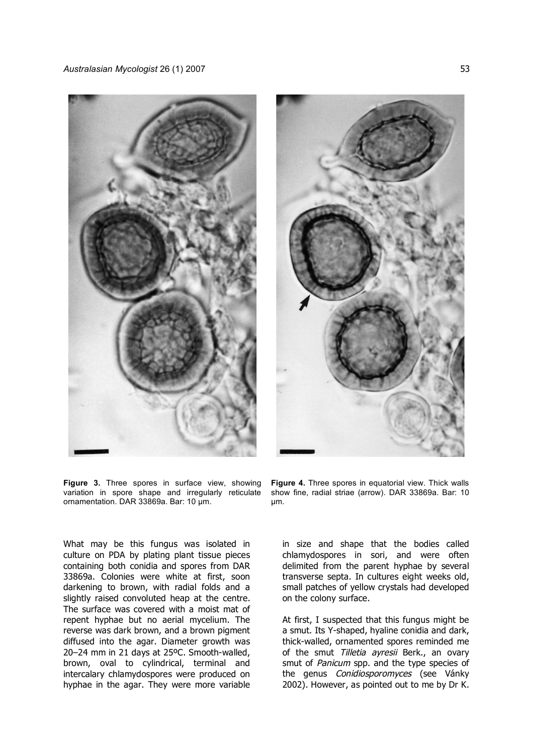

**Figure 3.** Three spores in surface view, showing variation in spore shape and irregularly reticulate ornamentation. DAR 33869a. Bar: 10 µm.

What may be this fungus was isolated in culture on PDA by plating plant tissue pieces containing both conidia and spores from DAR 33869a. Colonies were white at first, soon darkening to brown, with radial folds and a slightly raised convoluted heap at the centre. The surface was covered with a moist mat of repent hyphae but no aerial mycelium. The reverse was dark brown, and a brown pigment diffused into the agar. Diameter growth was 20–24 mm in 21 days at 25ºC. Smooth-walled, brown, oval to cylindrical, terminal and intercalary chlamydospores were produced on hyphae in the agar. They were more variable



**Figure 4.** Three spores in equatorial view. Thick walls show fine, radial striae (arrow). DAR 33869a. Bar: 10 µm.

in size and shape that the bodies called chlamydospores in sori, and were often delimited from the parent hyphae by several transverse septa. In cultures eight weeks old, small patches of yellow crystals had developed on the colony surface.

At first, I suspected that this fungus might be a smut. Its Y-shaped, hyaline conidia and dark, thick-walled, ornamented spores reminded me of the smut Tilletia ayresii Berk., an ovary smut of *Panicum* spp. and the type species of the genus Conidiosporomyces (see Vánky 2002). However, as pointed out to me by Dr K.